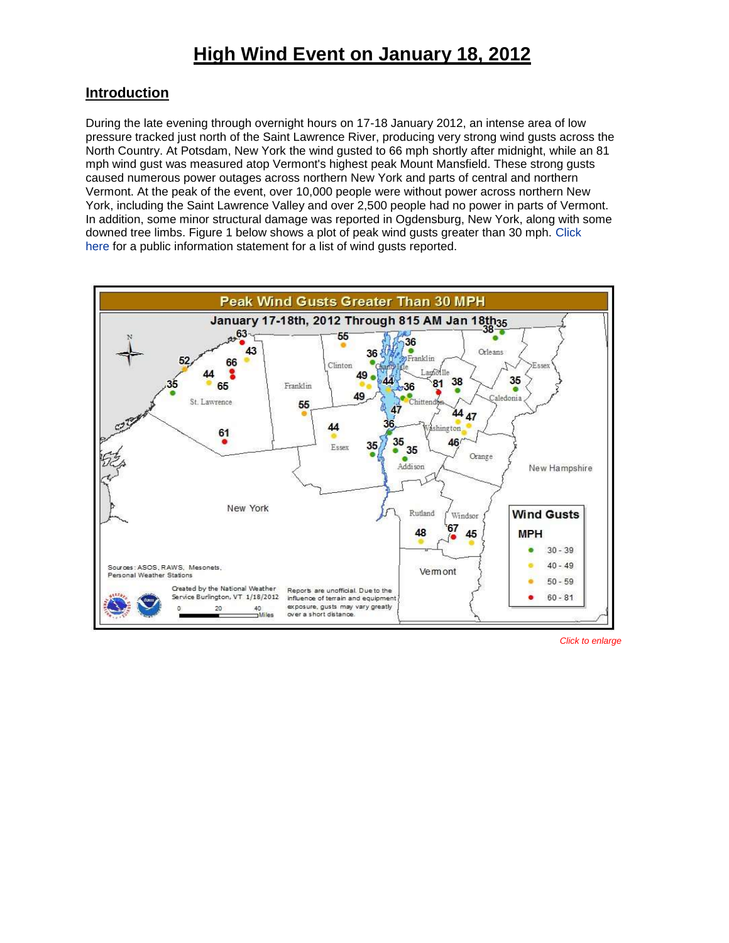## **Introduction**

During the late evening through overnight hours on 17-18 January 2012, an intense area of low pressure tracked just north of the Saint Lawrence River, producing very strong wind gusts across the North Country. At Potsdam, New York the wind gusted to 66 mph shortly after midnight, while an 81 mph wind gust was measured atop Vermont's highest peak Mount Mansfield. These strong gusts caused numerous power outages across northern New York and parts of central and northern Vermont. At the peak of the event, over 10,000 people were without power across northern New York, including the Saint Lawrence Valley and over 2,500 people had no power in parts of Vermont. In addition, some minor structural damage was reported in Ogdensburg, New York, along with some downed tree limbs. Figure 1 below shows a plot of peak wind gusts greater than 30 mph. [Click](http://www.weather.gov/media/btv/events/18Jan2012/PNS.pdf)  [here](http://www.weather.gov/media/btv/events/18Jan2012/PNS.pdf) for a public information statement for a list of wind gusts reported.

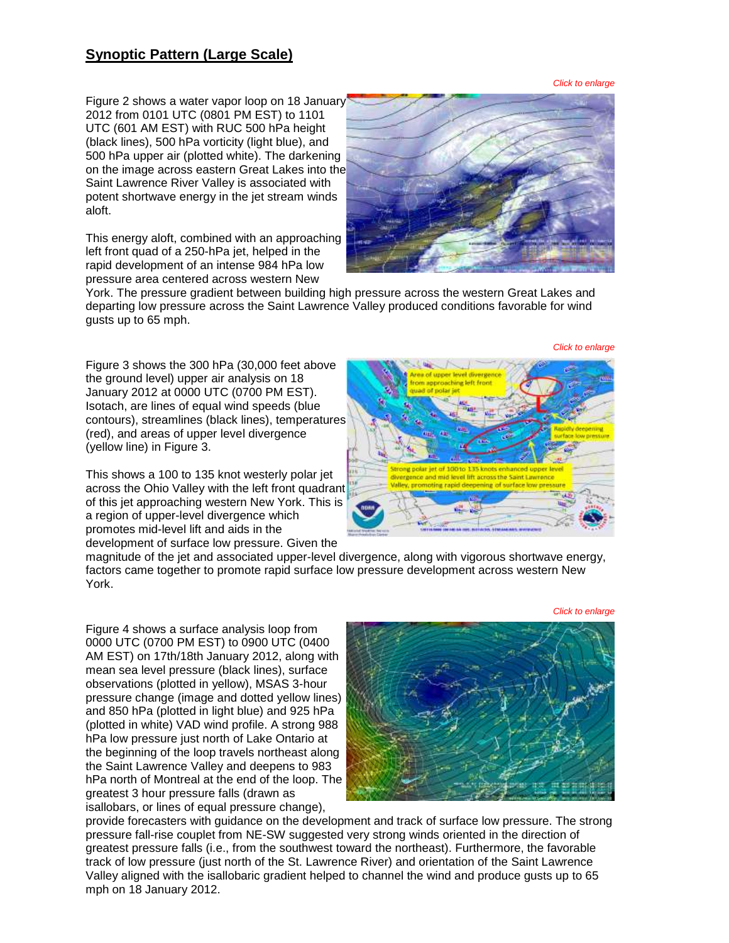# **Synoptic Pattern (Large Scale)**

*Click to enlarge*

*Click to enlarge*

Figure 2 shows a water vapor loop on 18 January 2012 from 0101 UTC (0801 PM EST) to 1101 UTC (601 AM EST) with RUC 500 hPa height (black lines), 500 hPa vorticity (light blue), and 500 hPa upper air (plotted white). The darkening on the image across eastern Great Lakes into the Saint Lawrence River Valley is associated with potent shortwave energy in the jet stream winds aloft.

This energy aloft, combined with an approaching left front quad of a 250-hPa jet, helped in the rapid development of an intense 984 hPa low pressure area centered across western New



York. The pressure gradient between building high pressure across the western Great Lakes and departing low pressure across the Saint Lawrence Valley produced conditions favorable for wind gusts up to 65 mph.

Figure 3 shows the 300 hPa (30,000 feet above the ground level) upper air analysis on 18 January 2012 at 0000 UTC (0700 PM EST). Isotach, are lines of equal wind speeds (blue contours), streamlines (black lines), temperatures (red), and areas of upper level divergence (yellow line) in Figure 3.

This shows a 100 to 135 knot westerly polar jet across the Ohio Valley with the left front quadrant of this jet approaching western New York. This is a region of upper-level divergence which promotes mid-level lift and aids in the development of surface low pressure. Given the

magnitude of the jet and associated upper-level divergence, along with vigorous shortwave energy, factors came together to promote rapid surface low pressure development across western New York.

Figure 4 shows a surface analysis loop from 0000 UTC (0700 PM EST) to 0900 UTC (0400 AM EST) on 17th/18th January 2012, along with mean sea level pressure (black lines), surface observations (plotted in yellow), MSAS 3-hour pressure change (image and dotted yellow lines) and 850 hPa (plotted in light blue) and 925 hPa (plotted in white) VAD wind profile. A strong 988 hPa low pressure just north of Lake Ontario at the beginning of the loop travels northeast along the Saint Lawrence Valley and deepens to 983 hPa north of Montreal at the end of the loop. The greatest 3 hour pressure falls (drawn as isallobars, or lines of equal pressure change),



provide forecasters with guidance on the development and track of surface low pressure. The strong pressure fall-rise couplet from NE-SW suggested very strong winds oriented in the direction of greatest pressure falls (i.e., from the southwest toward the northeast). Furthermore, the favorable track of low pressure (just north of the St. Lawrence River) and orientation of the Saint Lawrence Valley aligned with the isallobaric gradient helped to channel the wind and produce gusts up to 65 mph on 18 January 2012.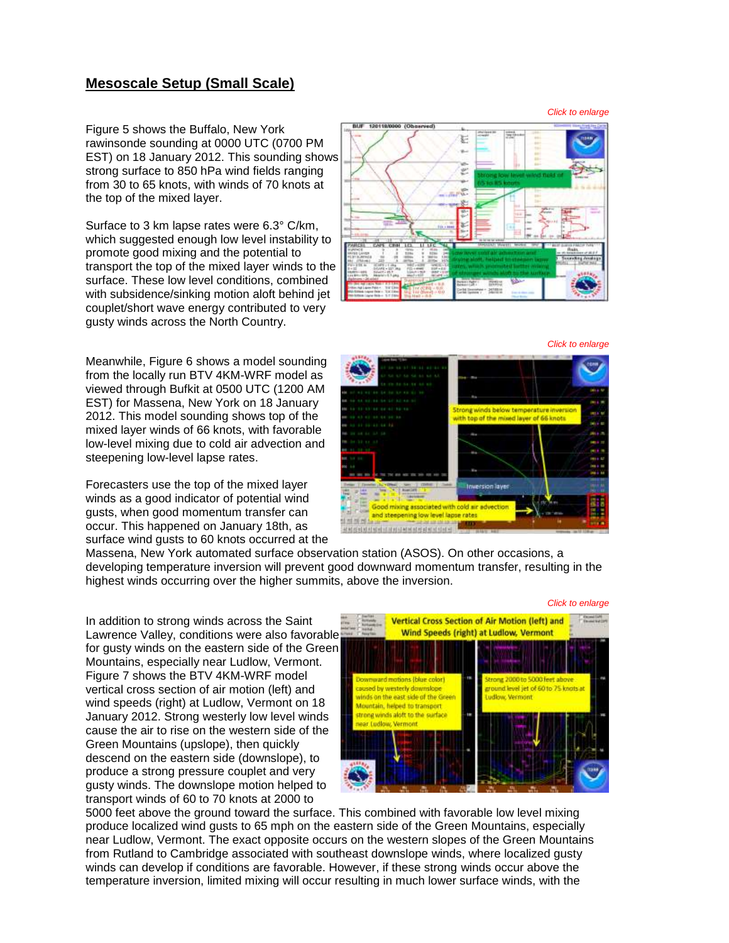## **Mesoscale Setup (Small Scale)**

Figure 5 shows the Buffalo, New York rawinsonde sounding at 0000 UTC (0700 PM EST) on 18 January 2012. This sounding shows strong surface to 850 hPa wind fields ranging from 30 to 65 knots, with winds of 70 knots at the top of the mixed layer.

Surface to 3 km lapse rates were 6.3° C/km, which suggested enough low level instability to promote good mixing and the potential to transport the top of the mixed layer winds to the surface. These low level conditions, combined with subsidence/sinking motion aloft behind jet couplet/short wave energy contributed to very gusty winds across the North Country.

Meanwhile, Figure 6 shows a model sounding from the locally run BTV 4KM-WRF model as viewed through Bufkit at 0500 UTC (1200 AM EST) for Massena, New York on 18 January 2012. This model sounding shows top of the mixed layer winds of 66 knots, with favorable low-level mixing due to cold air advection and steepening low-level lapse rates.

Forecasters use the top of the mixed layer winds as a good indicator of potential wind gusts, when good momentum transfer can occur. This happened on January 18th, as surface wind gusts to 60 knots occurred at the 宏 i. e.

*Click to enlarge*



Massena, New York automated surface observation station (ASOS). On other occasions, a developing temperature inversion will prevent good downward momentum transfer, resulting in the highest winds occurring over the higher summits, above the inversion.

In addition to strong winds across the Saint LawrenceValley, conditions were also favorable for gusty winds on the eastern side of the Green Mountains, especially near Ludlow, Vermont. Figure 7 shows the BTV 4KM-WRF model vertical cross section of air motion (left) and wind speeds (right) at Ludlow, Vermont on 18 January 2012. Strong westerly low level winds cause the air to rise on the western side of the Green Mountains (upslope), then quickly descend on the eastern side (downslope), to produce a strong pressure couplet and very gusty winds. The downslope motion helped to transport winds of 60 to 70 knots at 2000 to



5000 feet above the ground toward the surface. This combined with favorable low level mixing produce localized wind gusts to 65 mph on the eastern side of the Green Mountains, especially near Ludlow, Vermont. The exact opposite occurs on the western slopes of the Green Mountains from Rutland to Cambridge associated with southeast downslope winds, where localized gusty winds can develop if conditions are favorable. However, if these strong winds occur above the temperature inversion, limited mixing will occur resulting in much lower surface winds, with the

*Click to enlarge*